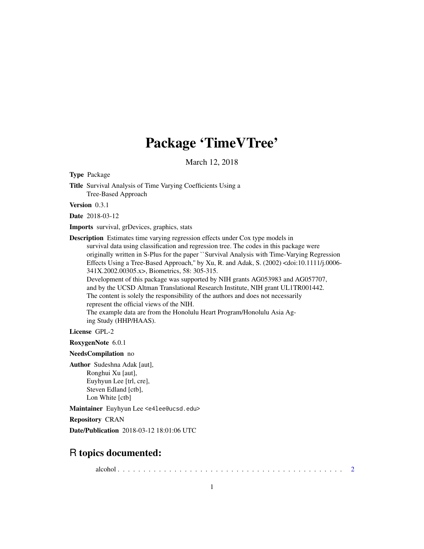# Package 'TimeVTree'

March 12, 2018

<span id="page-0-0"></span>Type Package

Title Survival Analysis of Time Varying Coefficients Using a Tree-Based Approach

Version 0.3.1

Date 2018-03-12

Imports survival, grDevices, graphics, stats

Description Estimates time varying regression effects under Cox type models in survival data using classification and regression tree. The codes in this package were originally written in S-Plus for the paper ``Survival Analysis with Time-Varying Regression Effects Using a Tree-Based Approach,'' by Xu, R. and Adak, S. (2002) <doi:10.1111/j.0006- 341X.2002.00305.x>, Biometrics, 58: 305-315. Development of this package was supported by NIH grants AG053983 and AG057707, and by the UCSD Altman Translational Research Institute, NIH grant UL1TR001442. The content is solely the responsibility of the authors and does not necessarily represent the official views of the NIH. The example data are from the Honolulu Heart Program/Honolulu Asia Ag-

ing Study (HHP/HAAS).

License GPL-2

RoxygenNote 6.0.1

NeedsCompilation no

Author Sudeshna Adak [aut], Ronghui Xu [aut], Euyhyun Lee [trl, cre], Steven Edland [ctb], Lon White [ctb]

Maintainer Euyhyun Lee <e4lee@ucsd.edu>

Repository CRAN

Date/Publication 2018-03-12 18:01:06 UTC

# R topics documented:

alcohol . . . . . . . . . . . . . . . . . . . . . . . . . . . . . . . . . . . . . . . . . . . . [2](#page-1-0)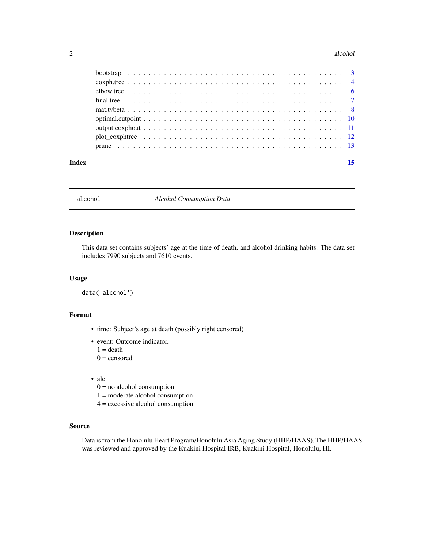#### <span id="page-1-0"></span>2 alcohol and  $\alpha$  alcohol and  $\alpha$  alcohol and  $\alpha$  alcohol and  $\alpha$  alcohol and  $\alpha$  and  $\alpha$  and  $\alpha$  and  $\alpha$  and  $\alpha$  and  $\alpha$  and  $\alpha$  and  $\alpha$  and  $\alpha$  and  $\alpha$  and  $\alpha$  and  $\alpha$  and  $\alpha$  and  $\alpha$  and  $\alpha$  and  $\alpha$

| Index | 15 |
|-------|----|
|       |    |
|       |    |
|       |    |
|       |    |
|       |    |
|       |    |
|       |    |
|       |    |
|       |    |

alcohol *Alcohol Consumption Data*

# Description

This data set contains subjects' age at the time of death, and alcohol drinking habits. The data set includes 7990 subjects and 7610 events.

# Usage

data('alcohol')

# Format

- time: Subject's age at death (possibly right censored)
- event: Outcome indicator.  $1 =$  death

 $0 =$  censored

- alc
	- $0 =$  no alcohol consumption
	- 1 = moderate alcohol consumption
	- 4 = excessive alcohol consumption

# Source

Data is from the Honolulu Heart Program/Honolulu Asia Aging Study (HHP/HAAS). The HHP/HAAS was reviewed and approved by the Kuakini Hospital IRB, Kuakini Hospital, Honolulu, HI.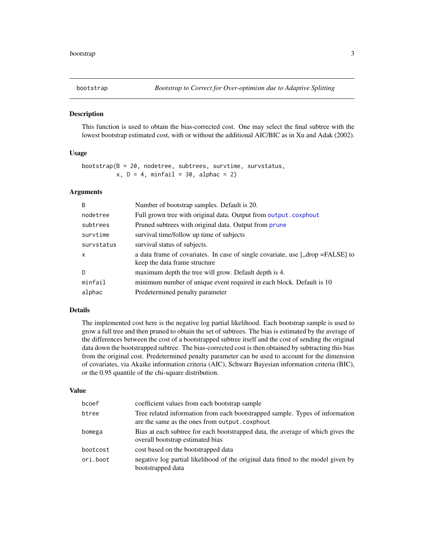<span id="page-2-1"></span><span id="page-2-0"></span>

## Description

This function is used to obtain the bias-corrected cost. One may select the final subtree with the lowest bootstrap estimated cost, with or without the additional AIC/BIC as in Xu and Adak (2002).

# Usage

```
bootstrap(B = 20, nodetree, subtrees, survtime, survstatus,
          x, D = 4, minfail = 30, alphac = 2)
```
#### Arguments

| <sub>B</sub> | Number of bootstrap samples. Default is 20.                                                                       |
|--------------|-------------------------------------------------------------------------------------------------------------------|
| nodetree     | Full grown tree with original data. Output from output.coxphout                                                   |
| subtrees     | Pruned subtrees with original data. Output from prune                                                             |
| survtime     | survival time/follow up time of subjects                                                                          |
| survstatus   | survival status of subjects.                                                                                      |
| X            | a data frame of covariates. In case of single covariate, use [,,drop = FALSE] to<br>keep the data frame structure |
| D            | maximum depth the tree will grow. Default depth is 4.                                                             |
| minfail      | minimum number of unique event required in each block. Default is 10                                              |
| alphac       | Predetermined penalty parameter                                                                                   |

# Details

The implemented cost here is the negative log partial likelihood. Each bootstrap sample is used to grow a full tree and then pruned to obtain the set of subtrees. The bias is estimated by the average of the differences between the cost of a bootstrapped subtree itself and the cost of sending the original data down the bootstrapped subtree. The bias-corrected cost is then obtained by subtracting this bias from the original cost. Predetermined penalty parameter can be used to account for the dimension of covariates, via Akaike information criteria (AIC), Schwarz Bayesian information criteria (BIC), or the 0.95 quantile of the chi-square distribution.

#### Value

| bcoef    | coefficient values from each bootstrap sample                                                                                 |
|----------|-------------------------------------------------------------------------------------------------------------------------------|
| btree    | Tree related information from each bootstrapped sample. Types of information<br>are the same as the ones from output.coxphout |
| bomega   | Bias at each subtree for each bootstrapped data, the average of which gives the<br>overall bootstrap estimated bias           |
| bootcost | cost based on the bootstrapped data                                                                                           |
| ori.boot | negative log partial likelihood of the original data fitted to the model given by<br>bootstrapped data                        |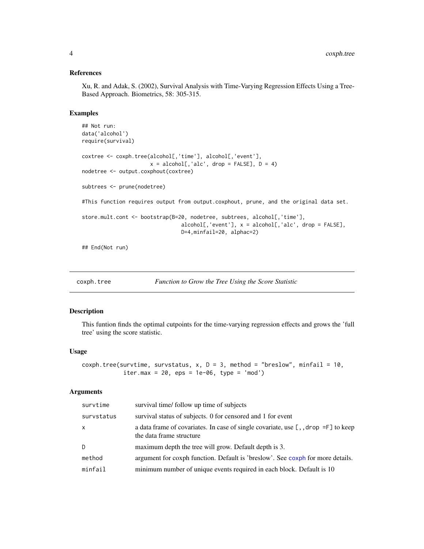#### References

Xu, R. and Adak, S. (2002), Survival Analysis with Time-Varying Regression Effects Using a Tree-Based Approach. Biometrics, 58: 305-315.

#### Examples

```
## Not run:
data('alcohol')
require(survival)
coxtree <- coxph.tree(alcohol[,'time'], alcohol[,'event'],
                       x = \text{alcohol}[, \text{'alc}', \text{ drop} = \text{FALSE}], D = 4nodetree <- output.coxphout(coxtree)
subtrees <- prune(nodetree)
#This function requires output from output.coxphout, prune, and the original data set.
store.mult.cont <- bootstrap(B=20, nodetree, subtrees, alcohol[,'time'],
                                  alcohol[, 'event'], x = alcohol[, 'alc, 'acc', drop = FALSE],D=4,minfail=20, alphac=2)
```
## End(Not run)

```
coxph.tree Function to Grow the Tree Using the Score Statistic
```
#### Description

This funtion finds the optimal cutpoints for the time-varying regression effects and grows the 'full tree' using the score statistic.

#### Usage

```
coxph.tree(survtime, survstatus, x, D = 3, method = "breslow", minfail = 10,
            iter.max = 20, eps = 1e-06, type = 'mod')
```
#### Arguments

| survtime     | survival time/ follow up time of subjects                                                                            |
|--------------|----------------------------------------------------------------------------------------------------------------------|
| survstatus   | survival status of subjects. 0 for censored and 1 for event                                                          |
| $\mathsf{x}$ | a data frame of covariates. In case of single covariate, use $[ , ,$ drop = $F]$ to keep<br>the data frame structure |
| D.           | maximum depth the tree will grow. Default depth is 3.                                                                |
| method       | argument for coxph function. Default is 'breslow'. See coxph for more details.                                       |
| minfail      | minimum number of unique events required in each block. Default is 10                                                |

<span id="page-3-0"></span>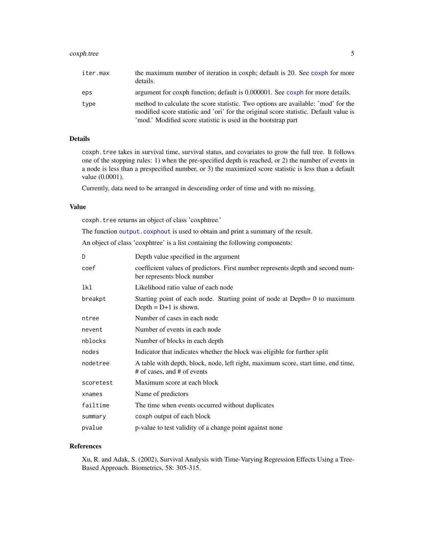# <span id="page-4-0"></span>coxph.tree 5

| iter.max | the maximum number of iteration in coxph; default is 20. See coxph for more<br>details.                                                                                                                                                     |
|----------|---------------------------------------------------------------------------------------------------------------------------------------------------------------------------------------------------------------------------------------------|
| eps      | argument for coxph function; default is 0.000001. See coxph for more details.                                                                                                                                                               |
| type     | method to calculate the score statistic. Two options are available: 'mod' for the<br>modified score statistic and 'ori' for the original score statistic. Default value is<br>'mod.' Modified score statistic is used in the bootstrap part |

# Details

coxph.tree takes in survival time, survival status, and covariates to grow the full tree. It follows one of the stopping rules: 1) when the pre-specified depth is reached, or 2) the number of events in a node is less than a prespecified number, or 3) the maximized score statistic is less than a default value (0.0001).

Currently, data need to be arranged in descending order of time and with no missing.

#### Value

coxph.tree returns an object of class 'coxphtree.'

The function [output.coxphout](#page-10-1) is used to obtain and print a summary of the result.

An object of class 'coxphtree' is a list containing the following components:

| D         | Depth value specified in the argument                                                                            |
|-----------|------------------------------------------------------------------------------------------------------------------|
| coef      | coefficient values of predictors. First number represents depth and second num-<br>ber represents block number   |
| lkl       | Likelihood ratio value of each node                                                                              |
| breakpt   | Starting point of each node. Starting point of node at Depth= 0 to maximum<br>Depth = $D+1$ is shown.            |
| ntree     | Number of cases in each node                                                                                     |
| nevent    | Number of events in each node                                                                                    |
| nblocks   | Number of blocks in each depth                                                                                   |
| nodes     | Indicator that indicates whether the block was eligible for further split                                        |
| nodetree  | A table with depth, block, node, left right, maximum score, start time, end time,<br># of cases, and # of events |
| scoretest | Maximum score at each block                                                                                      |
| xnames    | Name of predictors                                                                                               |
| failtime  | The time when events occurred without duplicates                                                                 |
| summary   | coxph output of each block                                                                                       |
| pvalue    | p-value to test validity of a change point against none                                                          |

# References

Xu, R. and Adak, S. (2002), Survival Analysis with Time-Varying Regression Effects Using a Tree-Based Approach. Biometrics, 58: 305-315.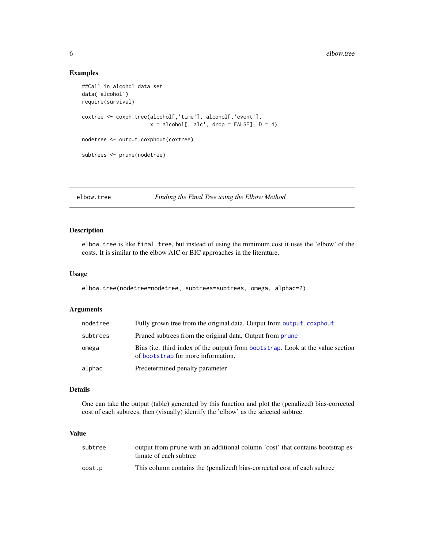# Examples

```
##Call in alcohol data set
data('alcohol')
require(survival)
coxtree <- coxph.tree(alcohol[,'time'], alcohol[,'event'],
                         x = \text{alcohol}[, \text{'alc}', \text{ drop} = \text{FALSE}], D = 4nodetree <- output.coxphout(coxtree)
subtrees <- prune(nodetree)
```
elbow.tree *Finding the Final Tree using the Elbow Method*

# Description

elbow.tree is like final.tree, but instead of using the minimum cost it uses the 'elbow' of the costs. It is similar to the elbow AIC or BIC approaches in the literature.

# Usage

```
elbow.tree(nodetree=nodetree, subtrees=subtrees, omega, alphac=2)
```
# Arguments

| nodetree | Fully grown tree from the original data. Output from output, coxphout                                                 |
|----------|-----------------------------------------------------------------------------------------------------------------------|
| subtrees | Pruned subtrees from the original data. Output from prune                                                             |
| omega    | Bias (i.e. third index of the output) from bootstrap. Look at the value section<br>of bootstrap for more information. |
| alphac   | Predetermined penalty parameter                                                                                       |

#### Details

One can take the output (table) generated by this function and plot the (penalized) bias-corrected cost of each subtrees, then (visually) identify the 'elbow' as the selected subtree.

#### Value

| subtree | output from prune with an additional column 'cost' that contains bootstrap es-<br>timate of each subtree |
|---------|----------------------------------------------------------------------------------------------------------|
| cost.p  | This column contains the (penalized) bias-corrected cost of each subtree                                 |

<span id="page-5-0"></span>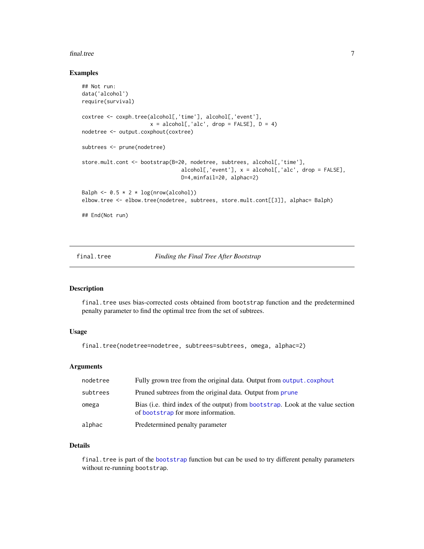#### <span id="page-6-0"></span>final.tree 7

# Examples

```
## Not run:
data('alcohol')
require(survival)
coxtree <- coxph.tree(alcohol[,'time'], alcohol[,'event'],
                        x = \text{alcohol}[, \text{'alc}', \text{ drop} = \text{FALSE}], D = 4nodetree <- output.coxphout(coxtree)
subtrees <- prune(nodetree)
store.mult.cont <- bootstrap(B=20, nodetree, subtrees, alcohol[,'time'],
                                   alcohol[, 'event'], x = alcohol[, 'alc', drop = FALSE],D=4,minfail=20, alphac=2)
Balph \leq -0.5 \times 2 \times \log(nrow(alcohol))elbow.tree <- elbow.tree(nodetree, subtrees, store.mult.cont[[3]], alphac= Balph)
## End(Not run)
```
final.tree *Finding the Final Tree After Bootstrap*

# Description

final.tree uses bias-corrected costs obtained from bootstrap function and the predetermined penalty parameter to find the optimal tree from the set of subtrees.

# Usage

final.tree(nodetree=nodetree, subtrees=subtrees, omega, alphac=2)

#### Arguments

| nodetree | Fully grown tree from the original data. Output from output.coxphout                                                  |
|----------|-----------------------------------------------------------------------------------------------------------------------|
| subtrees | Pruned subtrees from the original data. Output from prune                                                             |
| omega    | Bias (i.e. third index of the output) from bootstrap. Look at the value section<br>of bootstrap for more information. |
| alphac   | Predetermined penalty parameter                                                                                       |

# Details

final.tree is part of the [bootstrap](#page-2-1) function but can be used to try different penalty parameters without re-running bootstrap.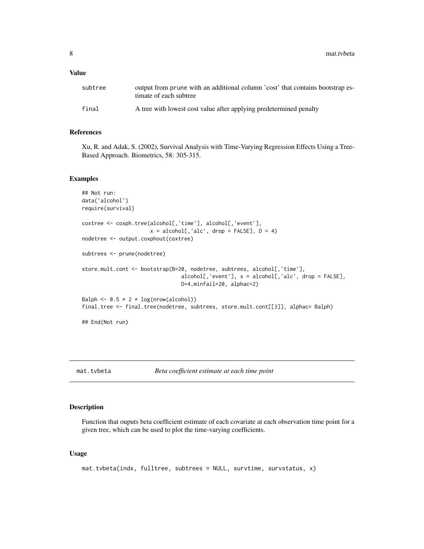<span id="page-7-0"></span>8 mat.tvbeta material control of the state of the state of the state of the state of the state of the state of the state of the state of the state of the state of the state of the state of the state of the state of the sta

### Value

| subtree | output from prune with an additional column 'cost' that contains bootstrap es-<br>timate of each subtree |
|---------|----------------------------------------------------------------------------------------------------------|
| final   | A tree with lowest cost value after applying predetermined penalty                                       |

# References

Xu, R. and Adak, S. (2002), Survival Analysis with Time-Varying Regression Effects Using a Tree-Based Approach. Biometrics, 58: 305-315.

#### Examples

```
## Not run:
data('alcohol')
require(survival)
coxtree <- coxph.tree(alcohol[,'time'], alcohol[,'event'],
                       x = \text{alcohol}[, \text{'alc}', \text{ drop} = \text{FALSE}], D = 4nodetree <- output.coxphout(coxtree)
subtrees <- prune(nodetree)
store.mult.cont <- bootstrap(B=20, nodetree, subtrees, alcohol[,'time'],
                                  alcohol[,'event'], x = alcohol[,'alc', drop = FALSE],
                                  D=4,minfail=20, alphac=2)
Balph \leq 0.5 \times 2 \times \log(nrow(alcohol))final.tree <- final.tree(nodetree, subtrees, store.mult.cont[[3]], alphac= Balph)
## End(Not run)
```
mat.tvbeta *Beta coefficient estimate at each time point*

#### Description

Function that ouputs beta coefficient estimate of each covariate at each observation time point for a given tree, which can be used to plot the time-varying coefficients.

# Usage

```
mat.tvbeta(indx, fulltree, subtrees = NULL, survtime, survstatus, x)
```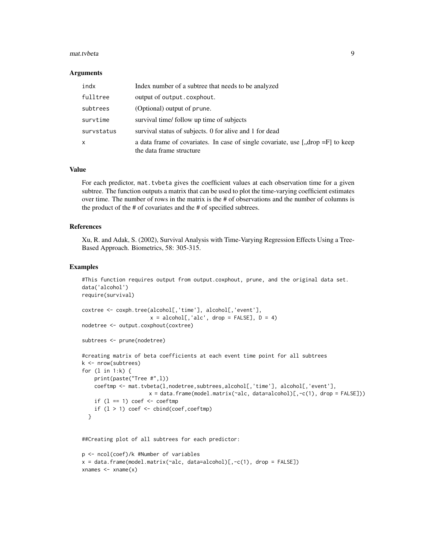#### mat.tvbeta 9

#### **Arguments**

| indx         | Index number of a subtree that needs to be analyzed                                                                             |
|--------------|---------------------------------------------------------------------------------------------------------------------------------|
| fulltree     | output of output.coxphout.                                                                                                      |
| subtrees     | (Optional) output of prune.                                                                                                     |
| survtime     | survival time/ follow up time of subjects                                                                                       |
| survstatus   | survival status of subjects. 0 for alive and 1 for dead                                                                         |
| $\mathsf{x}$ | a data frame of covariates. In case of single covariate, use $\langle \cdot, \cdot \rangle$ to keep<br>the data frame structure |

# Value

For each predictor, mat.tvbeta gives the coefficient values at each observation time for a given subtree. The function outputs a matrix that can be used to plot the time-varying coefficient estimates over time. The number of rows in the matrix is the # of observations and the number of columns is the product of the # of covariates and the # of specified subtrees.

#### References

Xu, R. and Adak, S. (2002), Survival Analysis with Time-Varying Regression Effects Using a Tree-Based Approach. Biometrics, 58: 305-315.

#### Examples

```
#This function requires output from output.coxphout, prune, and the original data set.
data('alcohol')
require(survival)
coxtree <- coxph.tree(alcohol[,'time'], alcohol[,'event'],
                       x = \text{alcohol}[, \text{'alc}', \text{ drop} = \text{FALSE}], D = 4)nodetree <- output.coxphout(coxtree)
subtrees <- prune(nodetree)
#creating matrix of beta coefficients at each event time point for all subtrees
k <- nrow(subtrees)
for (l in 1:k) {
    print(paste("Tree #",l))
    coeftmp <- mat.tvbeta(l,nodetree,subtrees,alcohol[,'time'], alcohol[,'event'],
                       x = data. frame(model.matrix(~alc, data=alcohol)[,-c(1), drop = FALSE]))
    if (1 == 1) coef \le coeftmp
    if (1 > 1) coef \le cbind(coef, coeftmp)
  }
```
##Creating plot of all subtrees for each predictor:

```
p <- ncol(coef)/k #Number of variables
x = data. frame(model.matrix(~alc, data=alcohol)[,-c(1), drop = FALSE])
xnames \leq xname(x)
```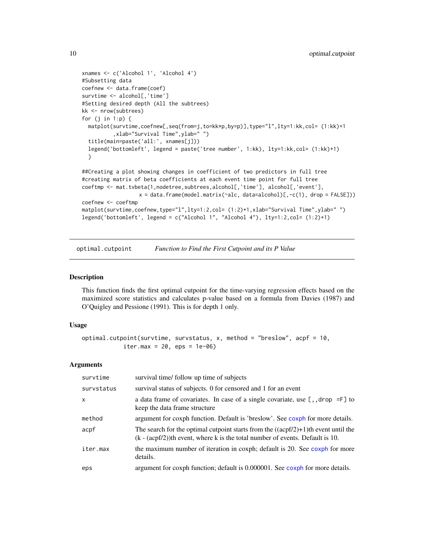```
xnames <- c('Alcohol 1', 'Alcohol 4')
#Subsetting data
coefnew <- data.frame(coef)
survtime <- alcohol[,'time']
#Setting desired depth (All the subtrees)
kk <- nrow(subtrees)
for (j in 1:p) {
 matplot(survtime,coefnew[,seq(from=j,to=kk*p,by=p)],type="l",lty=1:kk,col= (1:kk)+1
          ,xlab="Survival Time",ylab=" ")
 title(main=paste('all:', xnames[j]))
 legend('bottomleft', legend = paste('tree number', 1:kk), lty=1:kk,col= (1:kk)+1)
 }
##Creating a plot showing changes in coefficient of two predictors in full tree
#creating matrix of beta coefficients at each event time point for full tree
coeftmp <- mat.tvbeta(1,nodetree,subtrees,alcohol[,'time'], alcohol[,'event'],
                  x = data. frame(model.matrix(~alc, data=alcohol)[,-c(1), drop = FALSE]))
coefnew <- coeftmp
matplot(survtime,coefnew,type="l",lty=1:2,col= (1:2)+1,xlab="Survival Time",ylab="")
legend('bottomleft', legend = c("Alcohol 1", "Alcohol 4"), lty=1:2,col= (1:2)+1)
```
optimal.cutpoint *Function to Find the First Cutpoint and its P Value*

#### Description

This function finds the first optimal cutpoint for the time-varying regression effects based on the maximized score statistics and calculates p-value based on a formula from Davies (1987) and O'Quigley and Pessione (1991). This is for depth 1 only.

#### Usage

```
optimal.cutpoint(survtime, survstatus, x, method = "breslow", acpf = 10,
            iter.max = 20, eps = 1e-06)
```
#### Arguments

| survtime     | survival time/ follow up time of subjects                                                                                                                                 |
|--------------|---------------------------------------------------------------------------------------------------------------------------------------------------------------------------|
| survstatus   | survival status of subjects. 0 for censored and 1 for an event                                                                                                            |
| $\mathsf{x}$ | a data frame of covariates. In case of a single covariate, use $[ , ]$ , drop =F $]$ to<br>keep the data frame structure                                                  |
| method       | argument for coxph function. Default is 'breslow'. See coxph for more details.                                                                                            |
| acpf         | The search for the optimal cutpoint starts from the $((acpf/2)+1)$ th event until the<br>$(k - (acpf/2))$ th event, where k is the total number of events. Default is 10. |
| iter.max     | the maximum number of iteration in coxph; default is 20. See coxph for more<br>details.                                                                                   |
| eps          | argument for coxph function; default is 0.000001. See coxph for more details.                                                                                             |

<span id="page-9-0"></span>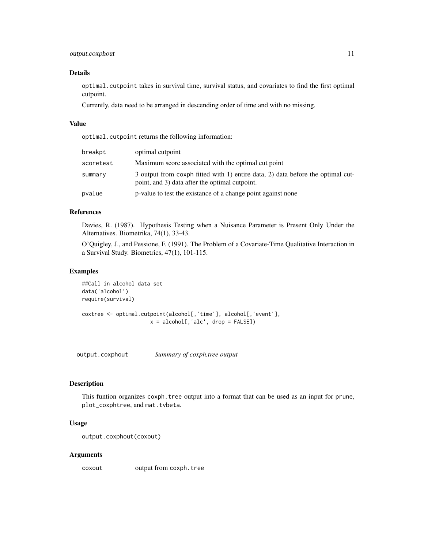# <span id="page-10-0"></span>output.coxphout 11

### Details

optimal.cutpoint takes in survival time, survival status, and covariates to find the first optimal cutpoint.

Currently, data need to be arranged in descending order of time and with no missing.

### Value

optimal.cutpoint returns the following information:

| breakpt   | optimal cutpoint                                                                                                                  |
|-----------|-----------------------------------------------------------------------------------------------------------------------------------|
| scoretest | Maximum score associated with the optimal cut point                                                                               |
| summary   | 3 output from coxph fitted with 1) entire data, 2) data before the optimal cut-<br>point, and 3) data after the optimal cutpoint. |
| pvalue    | p-value to test the existance of a change point against none                                                                      |

# References

Davies, R. (1987). Hypothesis Testing when a Nuisance Parameter is Present Only Under the Alternatives. Biometrika, 74(1), 33-43.

O'Quigley, J., and Pessione, F. (1991). The Problem of a Covariate-Time Qualitative Interaction in a Survival Study. Biometrics, 47(1), 101-115.

# Examples

```
##Call in alcohol data set
data('alcohol')
require(survival)
coxtree <- optimal.cutpoint(alcohol[,'time'], alcohol[,'event'],
                          x = \text{alcohol}[, \text{'alc}', \text{ drop} = \text{FALSE}]\
```
<span id="page-10-1"></span>output.coxphout *Summary of coxph.tree output*

#### Description

This funtion organizes coxph.tree output into a format that can be used as an input for prune, plot\_coxphtree, and mat.tvbeta.

# Usage

```
output.coxphout(coxout)
```
#### Arguments

coxout output from coxph.tree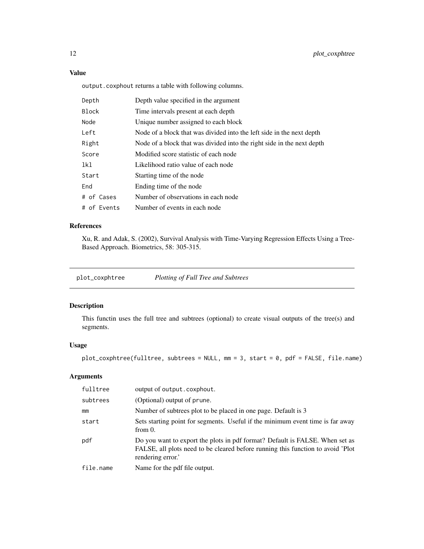# <span id="page-11-0"></span>Value

output.coxphout returns a table with following columns.

| Depth       | Depth value specified in the argument                                  |
|-------------|------------------------------------------------------------------------|
| Block       | Time intervals present at each depth                                   |
| Node        | Unique number assigned to each block                                   |
| Left        | Node of a block that was divided into the left side in the next depth  |
| Right       | Node of a block that was divided into the right side in the next depth |
| Score       | Modified score statistic of each node                                  |
| lkl         | Likelihood ratio value of each node                                    |
| Start       | Starting time of the node                                              |
| End         | Ending time of the node                                                |
| # of Cases  | Number of observations in each node                                    |
| # of Events | Number of events in each node                                          |

# References

Xu, R. and Adak, S. (2002), Survival Analysis with Time-Varying Regression Effects Using a Tree-Based Approach. Biometrics, 58: 305-315.

plot\_coxphtree *Plotting of Full Tree and Subtrees*

# Description

This functin uses the full tree and subtrees (optional) to create visual outputs of the tree(s) and segments.

# Usage

plot\_coxphtree(fulltree, subtrees = NULL, mm = 3, start = 0, pdf = FALSE, file.name)

# Arguments

| fulltree  | output of output.coxphout.                                                                                                                                                           |
|-----------|--------------------------------------------------------------------------------------------------------------------------------------------------------------------------------------|
| subtrees  | (Optional) output of prune.                                                                                                                                                          |
| mm        | Number of subtrees plot to be placed in one page. Default is 3                                                                                                                       |
| start     | Sets starting point for segments. Useful if the minimum event time is far away<br>from $0$ .                                                                                         |
| pdf       | Do you want to export the plots in pdf format? Default is FALSE. When set as<br>FALSE, all plots need to be cleared before running this function to avoid 'Plot<br>rendering error.' |
| file.name | Name for the pdf file output.                                                                                                                                                        |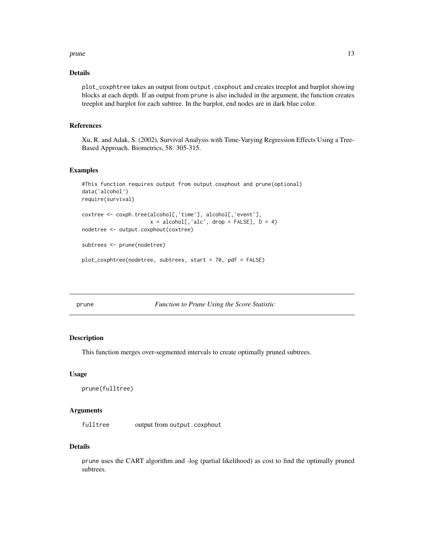#### <span id="page-12-0"></span>prune that the contract of the contract of the contract of the contract of the contract of the contract of the contract of the contract of the contract of the contract of the contract of the contract of the contract of the

# Details

plot\_coxphtree takes an output from output.coxphout and creates treeplot and barplot showing blocks at each depth. If an output from prune is also included in the argument, the function creates treeplot and barplot for each subtree. In the barplot, end nodes are in dark blue color.

# References

Xu, R. and Adak, S. (2002), Survival Analysis with Time-Varying Regression Effects Using a Tree-Based Approach. Biometrics, 58: 305-315.

#### Examples

```
#This function requires output from output.coxphout and prune(optional)
data('alcohol')
require(survival)
coxtree <- coxph.tree(alcohol[,'time'], alcohol[,'event'],
                       x = \text{alcohol}[, \text{'alc}', \text{ drop} = \text{FALSE}], D = 4nodetree <- output.coxphout(coxtree)
subtrees <- prune(nodetree)
plot_coxphtree(nodetree, subtrees, start = 70, pdf = FALSE)
```
<span id="page-12-1"></span>prune *Function to Prune Using the Score Statistic*

#### Description

This function merges over-segmented intervals to create optimally pruned subtrees.

#### Usage

prune(fulltree)

#### Arguments

fulltree output from output.coxphout

# Details

prune uses the CART algorithm and -log (partial likelihood) as cost to find the optimally pruned subtrees.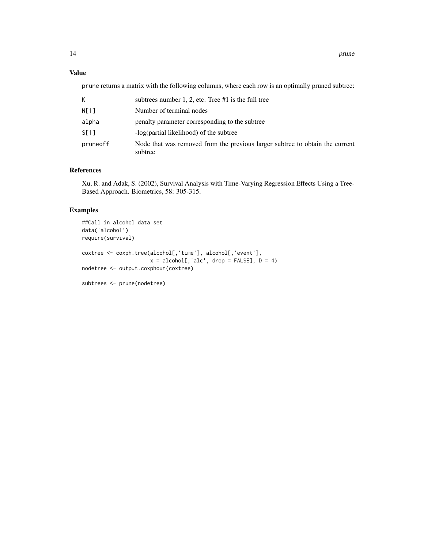# Value

prune returns a matrix with the following columns, where each row is an optimally pruned subtree:

|          | subtrees number 1, 2, etc. Tree $#1$ is the full tree                                   |
|----------|-----------------------------------------------------------------------------------------|
| N[1]     | Number of terminal nodes                                                                |
| alpha    | penalty parameter corresponding to the subtree                                          |
| S[1]     | -log(partial likelihood) of the subtree                                                 |
| pruneoff | Node that was removed from the previous larger subtree to obtain the current<br>subtree |

# References

Xu, R. and Adak, S. (2002), Survival Analysis with Time-Varying Regression Effects Using a Tree-Based Approach. Biometrics, 58: 305-315.

# Examples

```
##Call in alcohol data set
data('alcohol')
require(survival)
coxtree <- coxph.tree(alcohol[,'time'], alcohol[,'event'],
                        x = \text{alcohol}[, \text{'alc}', \text{ drop} = \text{FALSE}], D = 4nodetree <- output.coxphout(coxtree)
subtrees <- prune(nodetree)
```